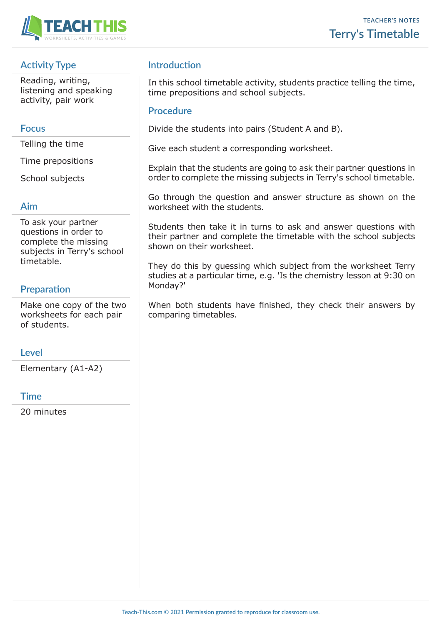

# **Activity Type**

Reading, writing, listening and speaking activity, pair work

#### **Focus**

Telling the time

Time prepositions

School subjects

#### **Aim**

To ask your partner questions in order to complete the missing subjects in Terry's school timetable.

# **Preparation**

Make one copy of the two worksheets for each pair of students.

#### **Level**

Elementary (A1-A2)

# **Time**

20 minutes

# **Introduction**

In this school timetable activity, students practice telling the time, time prepositions and school subjects.

### **Procedure**

Divide the students into pairs (Student A and B).

Give each student a corresponding worksheet.

Explain that the students are going to ask their partner questions in order to complete the missing subjects in Terry's school timetable.

Go through the question and answer structure as shown on the worksheet with the students.

Students then take it in turns to ask and answer questions with their partner and complete the timetable with the school subjects shown on their worksheet.

They do this by guessing which subject from the worksheet Terry studies at a particular time, e.g. 'Is the chemistry lesson at 9:30 on Monday?'

When both students have finished, they check their answers by comparing timetables.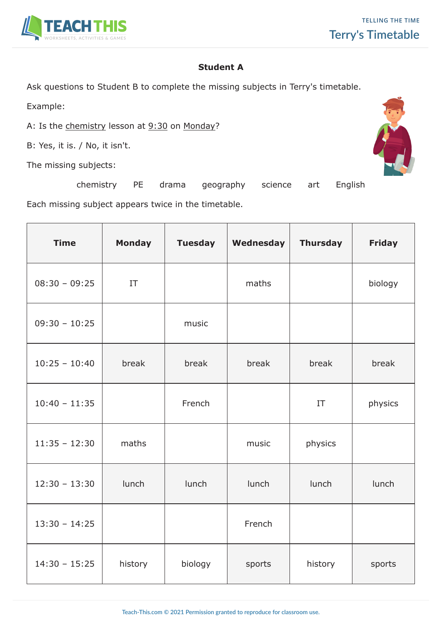

### **Student A**

Ask questions to Student B to complete the missing subjects in Terry's timetable.

Example:

A: Is the chemistry lesson at 9:30 on Monday?

B: Yes, it is. / No, it isn't.

The missing subjects:



Each missing subject appears twice in the timetable.

| <b>Time</b>     | <b>Monday</b> | <b>Tuesday</b> | Wednesday | <b>Thursday</b> | <b>Friday</b> |
|-----------------|---------------|----------------|-----------|-----------------|---------------|
| $08:30 - 09:25$ | IT            |                | maths     |                 | biology       |
| $09:30 - 10:25$ |               | music          |           |                 |               |
| $10:25 - 10:40$ | break         | break          | break     | break           | break         |
| $10:40 - 11:35$ |               | French         |           | IT              | physics       |
| $11:35 - 12:30$ | maths         |                | music     | physics         |               |
| $12:30 - 13:30$ | lunch         | lunch          | lunch     | lunch           | lunch         |
| $13:30 - 14:25$ |               |                | French    |                 |               |
| $14:30 - 15:25$ | history       | biology        | sports    | history         | sports        |